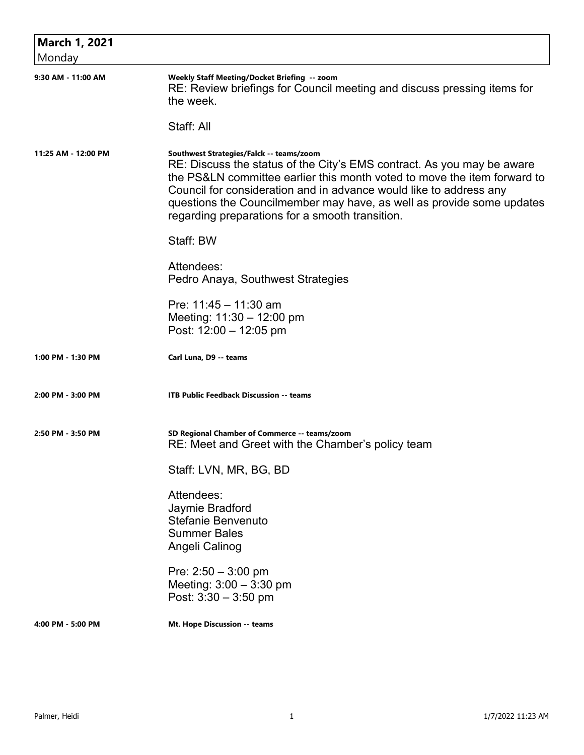| <b>March 1, 2021</b> |                                                                                                                                                                                                                                                                                                                                                                                                  |
|----------------------|--------------------------------------------------------------------------------------------------------------------------------------------------------------------------------------------------------------------------------------------------------------------------------------------------------------------------------------------------------------------------------------------------|
| Monday               |                                                                                                                                                                                                                                                                                                                                                                                                  |
| 9:30 AM - 11:00 AM   | Weekly Staff Meeting/Docket Briefing -- zoom<br>RE: Review briefings for Council meeting and discuss pressing items for<br>the week.                                                                                                                                                                                                                                                             |
|                      | Staff: All                                                                                                                                                                                                                                                                                                                                                                                       |
| 11:25 AM - 12:00 PM  | Southwest Strategies/Falck -- teams/zoom<br>RE: Discuss the status of the City's EMS contract. As you may be aware<br>the PS&LN committee earlier this month voted to move the item forward to<br>Council for consideration and in advance would like to address any<br>questions the Councilmember may have, as well as provide some updates<br>regarding preparations for a smooth transition. |
|                      | Staff: BW                                                                                                                                                                                                                                                                                                                                                                                        |
|                      | Attendees:<br>Pedro Anaya, Southwest Strategies                                                                                                                                                                                                                                                                                                                                                  |
|                      | Pre: $11:45 - 11:30$ am<br>Meeting: $11:30 - 12:00$ pm<br>Post: 12:00 - 12:05 pm                                                                                                                                                                                                                                                                                                                 |
| 1:00 PM - 1:30 PM    | Carl Luna, D9 -- teams                                                                                                                                                                                                                                                                                                                                                                           |
| 2:00 PM - 3:00 PM    | <b>ITB Public Feedback Discussion -- teams</b>                                                                                                                                                                                                                                                                                                                                                   |
| 2:50 PM - 3:50 PM    | SD Regional Chamber of Commerce -- teams/zoom<br>RE: Meet and Greet with the Chamber's policy team                                                                                                                                                                                                                                                                                               |
|                      | Staff: LVN, MR, BG, BD                                                                                                                                                                                                                                                                                                                                                                           |
|                      | Attendees:<br>Jaymie Bradford<br>Stefanie Benvenuto<br><b>Summer Bales</b><br>Angeli Calinog                                                                                                                                                                                                                                                                                                     |
|                      | Pre: $2:50 - 3:00$ pm<br>Meeting: $3:00 - 3:30$ pm<br>Post: $3:30 - 3:50$ pm                                                                                                                                                                                                                                                                                                                     |
| 4:00 PM - 5:00 PM    | Mt. Hope Discussion -- teams                                                                                                                                                                                                                                                                                                                                                                     |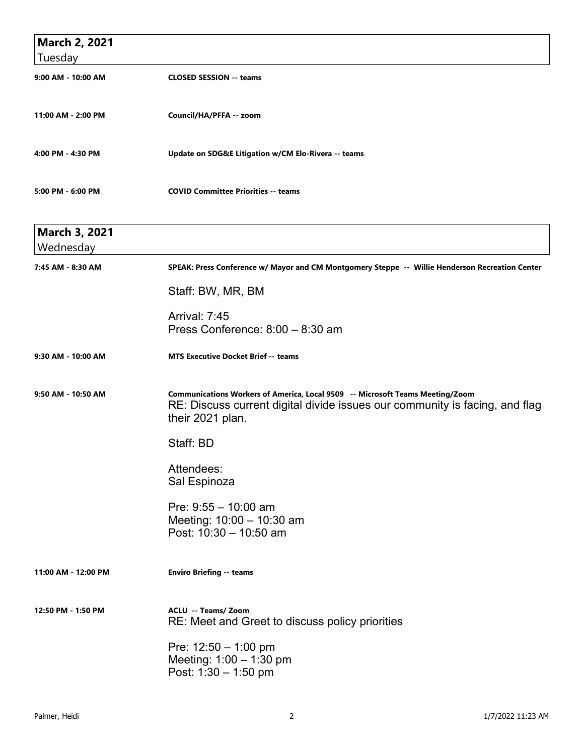| <b>March 2, 2021</b>              |                                                                                                                                                                                  |
|-----------------------------------|----------------------------------------------------------------------------------------------------------------------------------------------------------------------------------|
| Tuesday                           |                                                                                                                                                                                  |
| 9:00 AM - 10:00 AM                | <b>CLOSED SESSION -- teams</b>                                                                                                                                                   |
| 11:00 AM - 2:00 PM                | Council/HA/PFFA -- zoom                                                                                                                                                          |
| 4:00 PM - 4:30 PM                 | Update on SDG&E Litigation w/CM Elo-Rivera -- teams                                                                                                                              |
| 5:00 PM - 6:00 PM                 | <b>COVID Committee Priorities -- teams</b>                                                                                                                                       |
| <b>March 3, 2021</b><br>Wednesday |                                                                                                                                                                                  |
| 7:45 AM - 8:30 AM                 | SPEAK: Press Conference w/ Mayor and CM Montgomery Steppe -- Willie Henderson Recreation Center                                                                                  |
|                                   | Staff: BW, MR, BM                                                                                                                                                                |
|                                   | <b>Arrival: 7:45</b><br>Press Conference: 8:00 - 8:30 am                                                                                                                         |
| 9:30 AM - 10:00 AM                | <b>MTS Executive Docket Brief -- teams</b>                                                                                                                                       |
| 9:50 AM - 10:50 AM                | Communications Workers of America, Local 9509 -- Microsoft Teams Meeting/Zoom<br>RE: Discuss current digital divide issues our community is facing, and flag<br>their 2021 plan. |
|                                   | Staff: BD                                                                                                                                                                        |
|                                   | Attendees:<br>Sal Espinoza                                                                                                                                                       |
|                                   | Pre: $9:55 - 10:00$ am<br>Meeting: 10:00 - 10:30 am<br>Post: 10:30 - 10:50 am                                                                                                    |
| 11:00 AM - 12:00 PM               | <b>Enviro Briefing -- teams</b>                                                                                                                                                  |
| 12:50 PM - 1:50 PM                | <b>ACLU -- Teams/ Zoom</b><br>RE: Meet and Greet to discuss policy priorities                                                                                                    |
|                                   | Pre: $12:50 - 1:00$ pm<br>Meeting: 1:00 - 1:30 pm<br>Post: 1:30 - 1:50 pm                                                                                                        |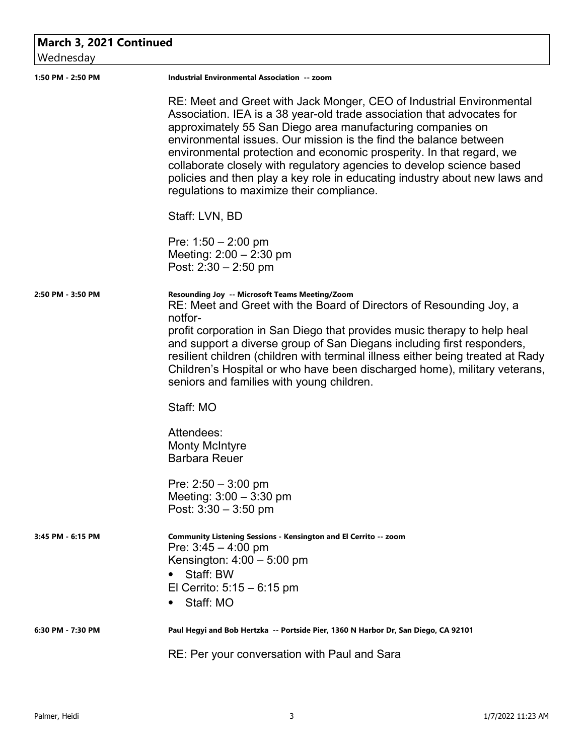## **March 3, 2021 Continued**

Wednesday

| <u>vvcuncsuay</u> |                                                                                                                                                                                                                                                                                                                                                                                                                                                                                                                                                                                                                                       |
|-------------------|---------------------------------------------------------------------------------------------------------------------------------------------------------------------------------------------------------------------------------------------------------------------------------------------------------------------------------------------------------------------------------------------------------------------------------------------------------------------------------------------------------------------------------------------------------------------------------------------------------------------------------------|
| 1:50 PM - 2:50 PM | Industrial Environmental Association -- zoom                                                                                                                                                                                                                                                                                                                                                                                                                                                                                                                                                                                          |
|                   | RE: Meet and Greet with Jack Monger, CEO of Industrial Environmental<br>Association. IEA is a 38 year-old trade association that advocates for<br>approximately 55 San Diego area manufacturing companies on<br>environmental issues. Our mission is the find the balance between<br>environmental protection and economic prosperity. In that regard, we<br>collaborate closely with regulatory agencies to develop science based<br>policies and then play a key role in educating industry about new laws and<br>regulations to maximize their compliance.                                                                         |
|                   | Staff: LVN, BD                                                                                                                                                                                                                                                                                                                                                                                                                                                                                                                                                                                                                        |
|                   | Pre: $1:50 - 2:00$ pm<br>Meeting: $2:00 - 2:30$ pm<br>Post: $2:30 - 2:50$ pm                                                                                                                                                                                                                                                                                                                                                                                                                                                                                                                                                          |
| 2:50 PM - 3:50 PM | Resounding Joy -- Microsoft Teams Meeting/Zoom<br>RE: Meet and Greet with the Board of Directors of Resounding Joy, a<br>notfor-<br>profit corporation in San Diego that provides music therapy to help heal<br>and support a diverse group of San Diegans including first responders,<br>resilient children (children with terminal illness either being treated at Rady<br>Children's Hospital or who have been discharged home), military veterans,<br>seniors and families with young children.<br>Staff: MO<br>Attendees:<br><b>Monty McIntyre</b><br><b>Barbara Reuer</b><br>Pre: $2:50 - 3:00$ pm<br>Meeting: $3:00 - 3:30$ pm |
|                   | Post: $3:30 - 3:50$ pm                                                                                                                                                                                                                                                                                                                                                                                                                                                                                                                                                                                                                |
| 3:45 PM - 6:15 PM | Community Listening Sessions - Kensington and El Cerrito -- zoom<br>Pre: $3:45 - 4:00$ pm<br>Kensington: $4:00 - 5:00$ pm<br>Staff: BW<br>El Cerrito: $5:15 - 6:15$ pm<br>Staff: MO                                                                                                                                                                                                                                                                                                                                                                                                                                                   |
| 6:30 PM - 7:30 PM | Paul Hegyi and Bob Hertzka -- Portside Pier, 1360 N Harbor Dr, San Diego, CA 92101                                                                                                                                                                                                                                                                                                                                                                                                                                                                                                                                                    |
|                   | RE: Per your conversation with Paul and Sara                                                                                                                                                                                                                                                                                                                                                                                                                                                                                                                                                                                          |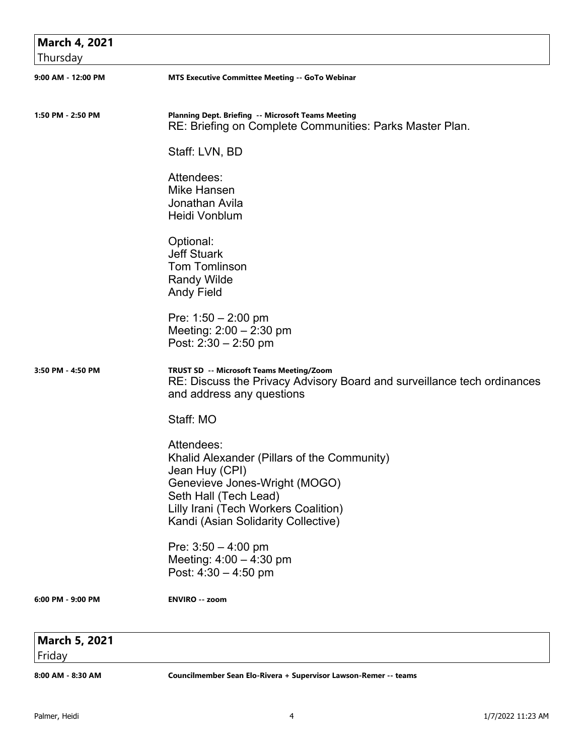| <b>March 4, 2021</b><br>Thursday |                                                                                                                                                                                                                      |
|----------------------------------|----------------------------------------------------------------------------------------------------------------------------------------------------------------------------------------------------------------------|
| 9:00 AM - 12:00 PM               | <b>MTS Executive Committee Meeting -- GoTo Webinar</b>                                                                                                                                                               |
| 1:50 PM - 2:50 PM                | Planning Dept. Briefing -- Microsoft Teams Meeting<br>RE: Briefing on Complete Communities: Parks Master Plan.                                                                                                       |
|                                  | Staff: LVN, BD                                                                                                                                                                                                       |
|                                  | Attendees:<br>Mike Hansen<br>Jonathan Avila<br>Heidi Vonblum                                                                                                                                                         |
|                                  | Optional:<br><b>Jeff Stuark</b><br><b>Tom Tomlinson</b><br><b>Randy Wilde</b><br><b>Andy Field</b>                                                                                                                   |
|                                  | Pre: $1:50 - 2:00$ pm<br>Meeting: $2:00 - 2:30$ pm<br>Post: $2:30 - 2:50$ pm                                                                                                                                         |
| 3:50 PM - 4:50 PM                | TRUST SD -- Microsoft Teams Meeting/Zoom<br>RE: Discuss the Privacy Advisory Board and surveillance tech ordinances<br>and address any questions                                                                     |
|                                  | Staff: MO                                                                                                                                                                                                            |
|                                  | Attendees:<br>Khalid Alexander (Pillars of the Community)<br>Jean Huy (CPI)<br>Genevieve Jones-Wright (MOGO)<br>Seth Hall (Tech Lead)<br>Lilly Irani (Tech Workers Coalition)<br>Kandi (Asian Solidarity Collective) |
|                                  | Pre: $3:50 - 4:00$ pm<br>Meeting: $4:00 - 4:30$ pm<br>Post: $4:30 - 4:50$ pm                                                                                                                                         |
| 6:00 PM - 9:00 PM                | <b>ENVIRO -- zoom</b>                                                                                                                                                                                                |
| <b>March 5, 2021</b><br>Friday   |                                                                                                                                                                                                                      |

**8:00 AM - 8:30 AM Councilmember Sean Elo-Rivera + Supervisor Lawson-Remer -- teams**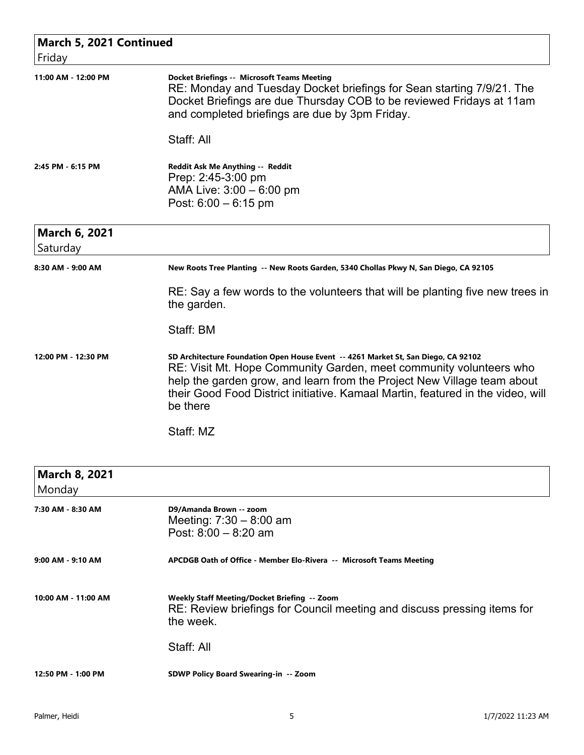| March 5, 2021 Continued        |                                                                                                                                                                                                                                                                                                                                    |
|--------------------------------|------------------------------------------------------------------------------------------------------------------------------------------------------------------------------------------------------------------------------------------------------------------------------------------------------------------------------------|
| Friday                         |                                                                                                                                                                                                                                                                                                                                    |
| 11:00 AM - 12:00 PM            | <b>Docket Briefings -- Microsoft Teams Meeting</b><br>RE: Monday and Tuesday Docket briefings for Sean starting 7/9/21. The<br>Docket Briefings are due Thursday COB to be reviewed Fridays at 11am<br>and completed briefings are due by 3pm Friday.                                                                              |
|                                | Staff: All                                                                                                                                                                                                                                                                                                                         |
| 2:45 PM - 6:15 PM              | Reddit Ask Me Anything -- Reddit<br>Prep: 2:45-3:00 pm<br>AMA Live: $3:00 - 6:00$ pm<br>Post: $6:00 - 6:15$ pm                                                                                                                                                                                                                     |
| <b>March 6, 2021</b>           |                                                                                                                                                                                                                                                                                                                                    |
| Saturday                       |                                                                                                                                                                                                                                                                                                                                    |
| 8:30 AM - 9:00 AM              | New Roots Tree Planting -- New Roots Garden, 5340 Chollas Pkwy N, San Diego, CA 92105                                                                                                                                                                                                                                              |
|                                | RE: Say a few words to the volunteers that will be planting five new trees in<br>the garden.                                                                                                                                                                                                                                       |
|                                | Staff: BM                                                                                                                                                                                                                                                                                                                          |
| 12:00 PM - 12:30 PM            | SD Architecture Foundation Open House Event -- 4261 Market St, San Diego, CA 92102<br>RE: Visit Mt. Hope Community Garden, meet community volunteers who<br>help the garden grow, and learn from the Project New Village team about<br>their Good Food District initiative. Kamaal Martin, featured in the video, will<br>be there |
|                                | Staff: MZ                                                                                                                                                                                                                                                                                                                          |
| <b>March 8, 2021</b><br>Monday |                                                                                                                                                                                                                                                                                                                                    |
| 7:30 AM - 8:30 AM              | D9/Amanda Brown -- zoom<br>Meeting: $7:30 - 8:00$ am<br>Post: $8:00 - 8:20$ am                                                                                                                                                                                                                                                     |
| 9:00 AM - 9:10 AM              | APCDGB Oath of Office - Member Elo-Rivera -- Microsoft Teams Meeting                                                                                                                                                                                                                                                               |
| 10:00 AM - 11:00 AM            | Weekly Staff Meeting/Docket Briefing -- Zoom<br>RE: Review briefings for Council meeting and discuss pressing items for<br>the week.                                                                                                                                                                                               |
|                                | Staff: All                                                                                                                                                                                                                                                                                                                         |
| 12:50 PM - 1:00 PM             | <b>SDWP Policy Board Swearing-in -- Zoom</b>                                                                                                                                                                                                                                                                                       |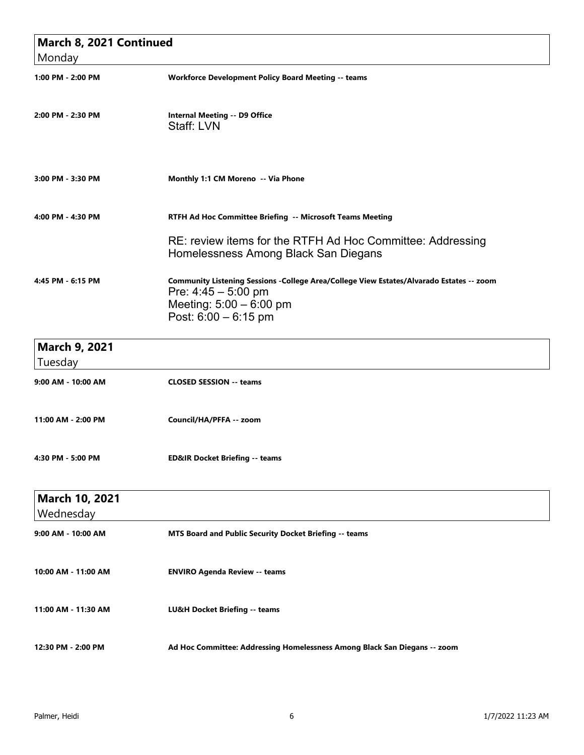| March 8, 2021 Continued<br>Monday |                                                                                                                                                                        |
|-----------------------------------|------------------------------------------------------------------------------------------------------------------------------------------------------------------------|
| 1:00 PM - 2:00 PM                 | <b>Workforce Development Policy Board Meeting -- teams</b>                                                                                                             |
| 2:00 PM - 2:30 PM                 | <b>Internal Meeting -- D9 Office</b><br>Staff: LVN                                                                                                                     |
| 3:00 PM - 3:30 PM                 | Monthly 1:1 CM Moreno -- Via Phone                                                                                                                                     |
| 4:00 PM - 4:30 PM                 | RTFH Ad Hoc Committee Briefing -- Microsoft Teams Meeting                                                                                                              |
|                                   | RE: review items for the RTFH Ad Hoc Committee: Addressing<br>Homelessness Among Black San Diegans                                                                     |
| 4:45 PM - 6:15 PM                 | Community Listening Sessions -College Area/College View Estates/Alvarado Estates -- zoom<br>Pre: $4:45 - 5:00$ pm<br>Meeting: 5:00 - 6:00 pm<br>Post: $6:00 - 6:15$ pm |
| <b>March 9, 2021</b><br>Tuesday   |                                                                                                                                                                        |
| 9:00 AM - 10:00 AM                | <b>CLOSED SESSION -- teams</b>                                                                                                                                         |
| 11:00 AM - 2:00 PM                | Council/HA/PFFA -- zoom                                                                                                                                                |
| 4:30 PM - 5:00 PM                 | <b>ED&amp;IR Docket Briefing -- teams</b>                                                                                                                              |
| March 10, 2021<br>Wednesday       |                                                                                                                                                                        |
| 9:00 AM - 10:00 AM                | MTS Board and Public Security Docket Briefing -- teams                                                                                                                 |
| 10:00 AM - 11:00 AM               | <b>ENVIRO Agenda Review -- teams</b>                                                                                                                                   |
| 11:00 AM - 11:30 AM               | LU&H Docket Briefing -- teams                                                                                                                                          |
| 12:30 PM - 2:00 PM                | Ad Hoc Committee: Addressing Homelessness Among Black San Diegans -- zoom                                                                                              |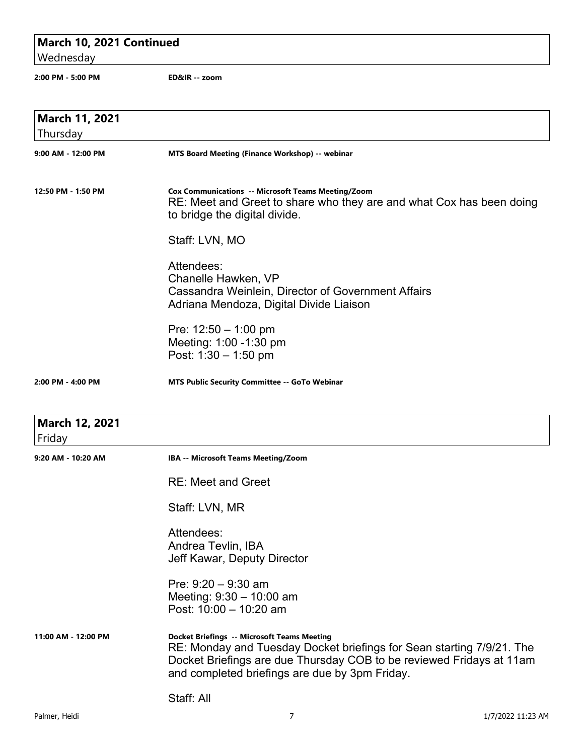## **March 10, 2021 Continued**

Wednesday

```
2:00 PM - 5:00 PM ED&IR -- zoom
```

| March 11, 2021      |                                                                                                                                                                                                                                                       |
|---------------------|-------------------------------------------------------------------------------------------------------------------------------------------------------------------------------------------------------------------------------------------------------|
| Thursday            |                                                                                                                                                                                                                                                       |
| 9:00 AM - 12:00 PM  | MTS Board Meeting (Finance Workshop) -- webinar                                                                                                                                                                                                       |
| 12:50 PM - 1:50 PM  | <b>Cox Communications -- Microsoft Teams Meeting/Zoom</b><br>RE: Meet and Greet to share who they are and what Cox has been doing<br>to bridge the digital divide.                                                                                    |
|                     | Staff: LVN, MO                                                                                                                                                                                                                                        |
|                     | Attendees:<br>Chanelle Hawken, VP<br>Cassandra Weinlein, Director of Government Affairs<br>Adriana Mendoza, Digital Divide Liaison                                                                                                                    |
|                     | Pre: $12:50 - 1:00$ pm<br>Meeting: 1:00 -1:30 pm<br>Post: $1:30 - 1:50$ pm                                                                                                                                                                            |
| 2:00 PM - 4:00 PM   | <b>MTS Public Security Committee -- GoTo Webinar</b>                                                                                                                                                                                                  |
| March 12, 2021      |                                                                                                                                                                                                                                                       |
| Friday              |                                                                                                                                                                                                                                                       |
| 9:20 AM - 10:20 AM  | IBA -- Microsoft Teams Meeting/Zoom                                                                                                                                                                                                                   |
|                     | <b>RE: Meet and Greet</b>                                                                                                                                                                                                                             |
|                     | Staff: LVN, MR                                                                                                                                                                                                                                        |
|                     | Attendees:<br>Andrea Tevlin, IBA<br>Jeff Kawar, Deputy Director                                                                                                                                                                                       |
|                     | Pre: $9:20 - 9:30$ am<br>Meeting: 9:30 - 10:00 am<br>Post: 10:00 - 10:20 am                                                                                                                                                                           |
| 11:00 AM - 12:00 PM | <b>Docket Briefings -- Microsoft Teams Meeting</b><br>RE: Monday and Tuesday Docket briefings for Sean starting 7/9/21. The<br>Docket Briefings are due Thursday COB to be reviewed Fridays at 11am<br>and completed briefings are due by 3pm Friday. |
|                     | Staff: All                                                                                                                                                                                                                                            |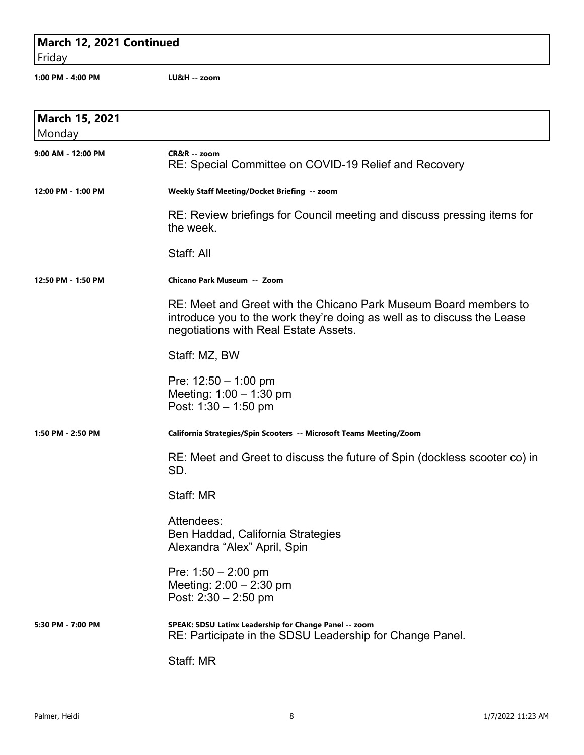## **March 12, 2021 Continued**

Friday

**1:00 PM - 4:00 PM LU&H -- zoom**

| <b>March 15, 2021</b><br>Monday |                                                                                                                                                                                      |
|---------------------------------|--------------------------------------------------------------------------------------------------------------------------------------------------------------------------------------|
| 9:00 AM - 12:00 PM              | CR&R -- zoom<br>RE: Special Committee on COVID-19 Relief and Recovery                                                                                                                |
| 12:00 PM - 1:00 PM              | Weekly Staff Meeting/Docket Briefing -- zoom                                                                                                                                         |
|                                 | RE: Review briefings for Council meeting and discuss pressing items for<br>the week.                                                                                                 |
|                                 | Staff: All                                                                                                                                                                           |
| 12:50 PM - 1:50 PM              | Chicano Park Museum -- Zoom                                                                                                                                                          |
|                                 | RE: Meet and Greet with the Chicano Park Museum Board members to<br>introduce you to the work they're doing as well as to discuss the Lease<br>negotiations with Real Estate Assets. |
|                                 | Staff: MZ, BW                                                                                                                                                                        |
|                                 | Pre: $12:50 - 1:00$ pm<br>Meeting: $1:00 - 1:30$ pm<br>Post: $1:30 - 1:50$ pm                                                                                                        |
| 1:50 PM - 2:50 PM               | California Strategies/Spin Scooters -- Microsoft Teams Meeting/Zoom                                                                                                                  |
|                                 | RE: Meet and Greet to discuss the future of Spin (dockless scooter co) in<br>SD.                                                                                                     |
|                                 | Staff: MR                                                                                                                                                                            |
|                                 | Attendees:<br>Ben Haddad, California Strategies<br>Alexandra "Alex" April, Spin                                                                                                      |
|                                 | Pre: $1:50 - 2:00$ pm<br>Meeting: $2:00 - 2:30$ pm<br>Post: $2:30 - 2:50$ pm                                                                                                         |
| 5:30 PM - 7:00 PM               | SPEAK: SDSU Latinx Leadership for Change Panel -- zoom<br>RE: Participate in the SDSU Leadership for Change Panel.                                                                   |
|                                 | Staff: MR                                                                                                                                                                            |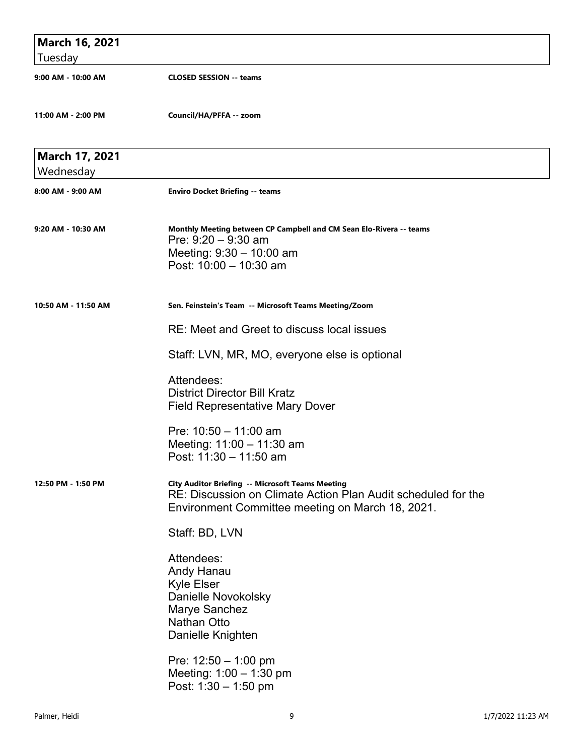| March 16, 2021      |                                                                                                                                                                              |
|---------------------|------------------------------------------------------------------------------------------------------------------------------------------------------------------------------|
| Tuesday             |                                                                                                                                                                              |
| 9:00 AM - 10:00 AM  | <b>CLOSED SESSION -- teams</b>                                                                                                                                               |
| 11:00 AM - 2:00 PM  | Council/HA/PFFA -- zoom                                                                                                                                                      |
| March 17, 2021      |                                                                                                                                                                              |
| Wednesday           |                                                                                                                                                                              |
| 8:00 AM - 9:00 AM   | <b>Enviro Docket Briefing -- teams</b>                                                                                                                                       |
| 9:20 AM - 10:30 AM  | Monthly Meeting between CP Campbell and CM Sean Elo-Rivera -- teams<br>Pre: $9:20 - 9:30$ am<br>Meeting: 9:30 - 10:00 am                                                     |
|                     | Post: 10:00 - 10:30 am                                                                                                                                                       |
| 10:50 AM - 11:50 AM | Sen. Feinstein's Team -- Microsoft Teams Meeting/Zoom                                                                                                                        |
|                     | RE: Meet and Greet to discuss local issues                                                                                                                                   |
|                     | Staff: LVN, MR, MO, everyone else is optional                                                                                                                                |
|                     | Attendees:                                                                                                                                                                   |
|                     | <b>District Director Bill Kratz</b><br><b>Field Representative Mary Dover</b>                                                                                                |
|                     | Pre: $10:50 - 11:00$ am                                                                                                                                                      |
|                     | Meeting: 11:00 - 11:30 am<br>Post: 11:30 - 11:50 am                                                                                                                          |
| 12:50 PM - 1:50 PM  | <b>City Auditor Briefing -- Microsoft Teams Meeting</b><br>RE: Discussion on Climate Action Plan Audit scheduled for the<br>Environment Committee meeting on March 18, 2021. |
|                     | Staff: BD, LVN                                                                                                                                                               |
|                     | Attendees:<br>Andy Hanau<br>Kyle Elser<br>Danielle Novokolsky<br>Marye Sanchez<br><b>Nathan Otto</b><br>Danielle Knighten                                                    |
|                     | Pre: $12:50 - 1:00$ pm<br>Meeting: $1:00 - 1:30$ pm<br>Post: $1:30 - 1:50$ pm                                                                                                |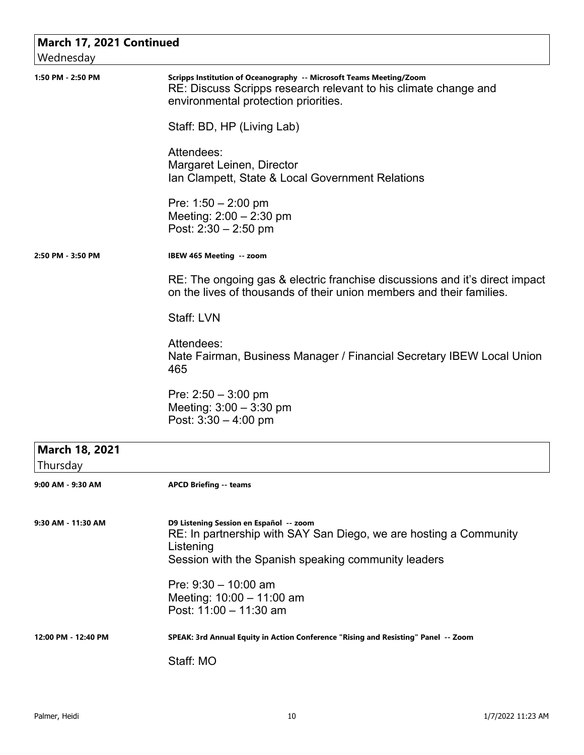| March 17, 2021 Continued   |                                                                                                                                                                                  |
|----------------------------|----------------------------------------------------------------------------------------------------------------------------------------------------------------------------------|
| Wednesday                  |                                                                                                                                                                                  |
| 1:50 PM - 2:50 PM          | Scripps Institution of Oceanography -- Microsoft Teams Meeting/Zoom<br>RE: Discuss Scripps research relevant to his climate change and<br>environmental protection priorities.   |
|                            | Staff: BD, HP (Living Lab)                                                                                                                                                       |
|                            | Attendees:<br>Margaret Leinen, Director<br>Ian Clampett, State & Local Government Relations                                                                                      |
|                            | Pre: $1:50 - 2:00$ pm<br>Meeting: $2:00 - 2:30$ pm<br>Post: $2:30 - 2:50$ pm                                                                                                     |
| 2:50 PM - 3:50 PM          | IBEW 465 Meeting -- zoom                                                                                                                                                         |
|                            | RE: The ongoing gas & electric franchise discussions and it's direct impact<br>on the lives of thousands of their union members and their families.                              |
|                            | Staff: LVN                                                                                                                                                                       |
|                            | Attendees:<br>Nate Fairman, Business Manager / Financial Secretary IBEW Local Union<br>465                                                                                       |
|                            | Pre: $2:50 - 3:00$ pm<br>Meeting: $3:00 - 3:30$ pm<br>Post: $3:30 - 4:00$ pm                                                                                                     |
| March 18, 2021<br>Thursday |                                                                                                                                                                                  |
| 9:00 AM - 9:30 AM          | <b>APCD Briefing -- teams</b>                                                                                                                                                    |
| 9:30 AM - 11:30 AM         | D9 Listening Session en Español -- zoom<br>RE: In partnership with SAY San Diego, we are hosting a Community<br>Listening<br>Session with the Spanish speaking community leaders |
|                            | Pre: $9:30 - 10:00$ am<br>Meeting: 10:00 - 11:00 am<br>Post: 11:00 - 11:30 am                                                                                                    |
| 12:00 PM - 12:40 PM        | SPEAK: 3rd Annual Equity in Action Conference "Rising and Resisting" Panel -- Zoom                                                                                               |
|                            | Staff: MO                                                                                                                                                                        |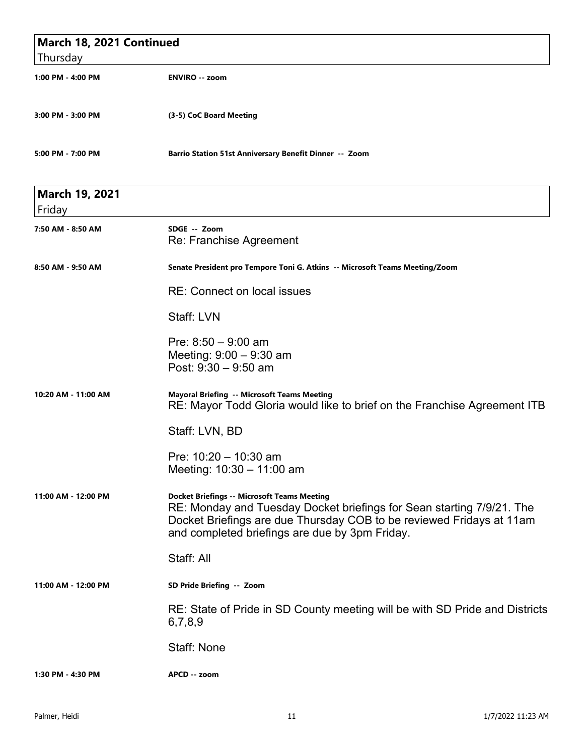| March 18, 2021 Continued        |                                                                                                                                                                                                                                                       |
|---------------------------------|-------------------------------------------------------------------------------------------------------------------------------------------------------------------------------------------------------------------------------------------------------|
| Thursday                        |                                                                                                                                                                                                                                                       |
| 1:00 PM - 4:00 PM               | <b>ENVIRO -- zoom</b>                                                                                                                                                                                                                                 |
| 3:00 PM - 3:00 PM               | (3-5) CoC Board Meeting                                                                                                                                                                                                                               |
| 5:00 PM - 7:00 PM               | Barrio Station 51st Anniversary Benefit Dinner -- Zoom                                                                                                                                                                                                |
| <b>March 19, 2021</b><br>Friday |                                                                                                                                                                                                                                                       |
| 7:50 AM - 8:50 AM               | SDGE -- Zoom<br>Re: Franchise Agreement                                                                                                                                                                                                               |
| 8:50 AM - 9:50 AM               | Senate President pro Tempore Toni G. Atkins -- Microsoft Teams Meeting/Zoom                                                                                                                                                                           |
|                                 | <b>RE: Connect on local issues</b>                                                                                                                                                                                                                    |
|                                 | Staff: LVN                                                                                                                                                                                                                                            |
|                                 | Pre: $8:50 - 9:00$ am<br>Meeting: $9:00 - 9:30$ am<br>Post: 9:30 - 9:50 am                                                                                                                                                                            |
| 10:20 AM - 11:00 AM             | Mayoral Briefing -- Microsoft Teams Meeting<br>RE: Mayor Todd Gloria would like to brief on the Franchise Agreement ITB                                                                                                                               |
|                                 | Staff: LVN, BD                                                                                                                                                                                                                                        |
|                                 | Pre: $10:20 - 10:30$ am<br>Meeting: 10:30 - 11:00 am                                                                                                                                                                                                  |
| 11:00 AM - 12:00 PM             | <b>Docket Briefings -- Microsoft Teams Meeting</b><br>RE: Monday and Tuesday Docket briefings for Sean starting 7/9/21. The<br>Docket Briefings are due Thursday COB to be reviewed Fridays at 11am<br>and completed briefings are due by 3pm Friday. |
|                                 | Staff: All                                                                                                                                                                                                                                            |
| 11:00 AM - 12:00 PM             | SD Pride Briefing -- Zoom                                                                                                                                                                                                                             |
|                                 | RE: State of Pride in SD County meeting will be with SD Pride and Districts<br>6,7,8,9                                                                                                                                                                |
|                                 | Staff: None                                                                                                                                                                                                                                           |
| 1:30 PM - 4:30 PM               | APCD -- zoom                                                                                                                                                                                                                                          |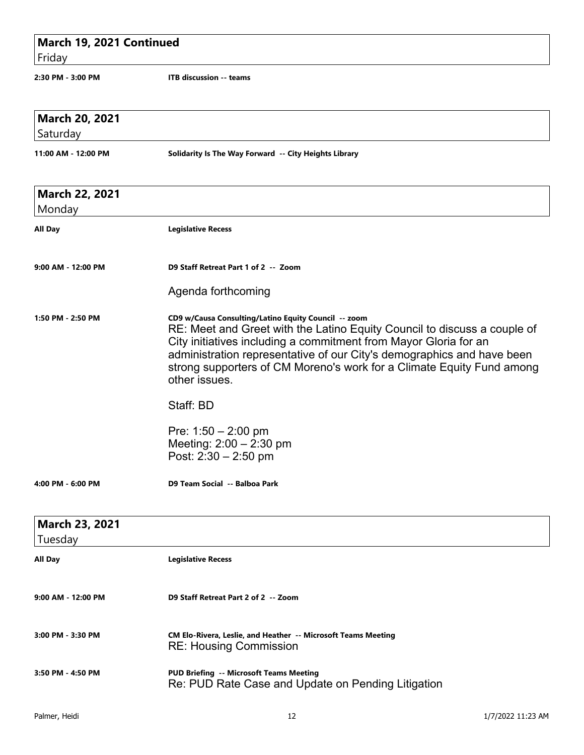| March 19, 2021 Continued<br>Friday |                                                                                                                                                                                                                                                                                                                                                                          |                   |
|------------------------------------|--------------------------------------------------------------------------------------------------------------------------------------------------------------------------------------------------------------------------------------------------------------------------------------------------------------------------------------------------------------------------|-------------------|
| 2:30 PM - 3:00 PM                  | <b>ITB discussion -- teams</b>                                                                                                                                                                                                                                                                                                                                           |                   |
| <b>March 20, 2021</b>              |                                                                                                                                                                                                                                                                                                                                                                          |                   |
| Saturday<br>11:00 AM - 12:00 PM    | Solidarity Is The Way Forward -- City Heights Library                                                                                                                                                                                                                                                                                                                    |                   |
| <b>March 22, 2021</b>              |                                                                                                                                                                                                                                                                                                                                                                          |                   |
| Monday<br><b>All Day</b>           | <b>Legislative Recess</b>                                                                                                                                                                                                                                                                                                                                                |                   |
| 9:00 AM - 12:00 PM                 | D9 Staff Retreat Part 1 of 2 -- Zoom<br>Agenda forthcoming                                                                                                                                                                                                                                                                                                               |                   |
| 1:50 PM - 2:50 PM                  | CD9 w/Causa Consulting/Latino Equity Council -- zoom<br>RE: Meet and Greet with the Latino Equity Council to discuss a couple of<br>City initiatives including a commitment from Mayor Gloria for an<br>administration representative of our City's demographics and have been<br>strong supporters of CM Moreno's work for a Climate Equity Fund among<br>other issues. |                   |
|                                    | Staff: BD<br>Pre: $1:50 - 2:00$ pm<br>Meeting: $2:00 - 2:30$ pm<br>Post: 2:30 - 2:50 pm                                                                                                                                                                                                                                                                                  |                   |
| 4:00 PM - 6:00 PM                  | D9 Team Social -- Balboa Park                                                                                                                                                                                                                                                                                                                                            |                   |
| <b>March 23, 2021</b><br>Tuesday   |                                                                                                                                                                                                                                                                                                                                                                          |                   |
| All Day                            | <b>Legislative Recess</b>                                                                                                                                                                                                                                                                                                                                                |                   |
| 9:00 AM - 12:00 PM                 | D9 Staff Retreat Part 2 of 2 -- Zoom                                                                                                                                                                                                                                                                                                                                     |                   |
| 3:00 PM - 3:30 PM                  | CM Elo-Rivera, Leslie, and Heather -- Microsoft Teams Meeting<br><b>RE: Housing Commission</b>                                                                                                                                                                                                                                                                           |                   |
| 3:50 PM - 4:50 PM                  | <b>PUD Briefing -- Microsoft Teams Meeting</b><br>Re: PUD Rate Case and Update on Pending Litigation                                                                                                                                                                                                                                                                     |                   |
| Palmer, Heidi                      | 12                                                                                                                                                                                                                                                                                                                                                                       | 1/7/2022 11:23 AM |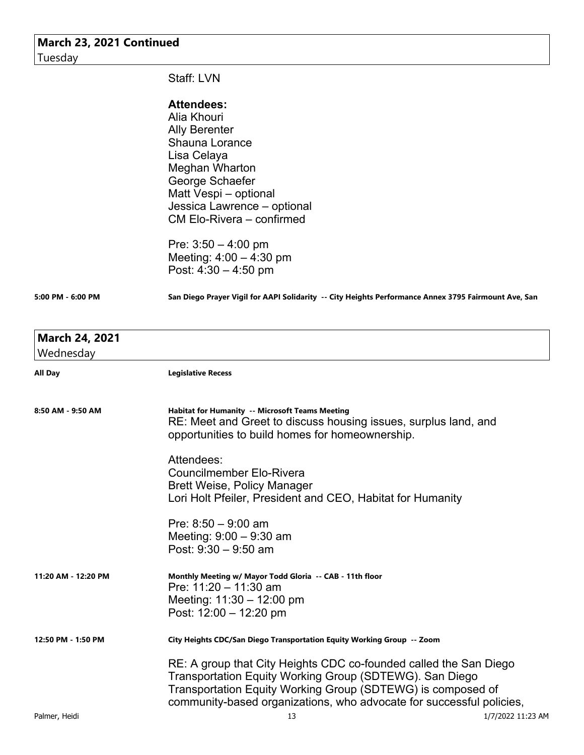| March 23, 2021 Continued<br>Tuesday |                                                                                                                                                                                                                                                                     |  |
|-------------------------------------|---------------------------------------------------------------------------------------------------------------------------------------------------------------------------------------------------------------------------------------------------------------------|--|
|                                     |                                                                                                                                                                                                                                                                     |  |
|                                     | <b>Attendees:</b>                                                                                                                                                                                                                                                   |  |
|                                     | Alia Khouri                                                                                                                                                                                                                                                         |  |
|                                     | <b>Ally Berenter</b>                                                                                                                                                                                                                                                |  |
|                                     | <b>Shauna Lorance</b>                                                                                                                                                                                                                                               |  |
|                                     | Lisa Celaya                                                                                                                                                                                                                                                         |  |
|                                     | Meghan Wharton                                                                                                                                                                                                                                                      |  |
|                                     | George Schaefer                                                                                                                                                                                                                                                     |  |
|                                     | Matt Vespi - optional                                                                                                                                                                                                                                               |  |
|                                     | Jessica Lawrence – optional<br>CM Elo-Rivera - confirmed                                                                                                                                                                                                            |  |
|                                     |                                                                                                                                                                                                                                                                     |  |
|                                     | Pre: $3:50 - 4:00$ pm                                                                                                                                                                                                                                               |  |
|                                     | Meeting: $4:00 - 4:30$ pm                                                                                                                                                                                                                                           |  |
|                                     | Post: $4:30 - 4:50$ pm                                                                                                                                                                                                                                              |  |
|                                     |                                                                                                                                                                                                                                                                     |  |
| 5:00 PM - 6:00 PM                   | San Diego Prayer Vigil for AAPI Solidarity -- City Heights Performance Annex 3795 Fairmount Ave, San                                                                                                                                                                |  |
| <b>March 24, 2021</b>               |                                                                                                                                                                                                                                                                     |  |
| Wednesday                           |                                                                                                                                                                                                                                                                     |  |
| All Day                             | <b>Legislative Recess</b>                                                                                                                                                                                                                                           |  |
|                                     |                                                                                                                                                                                                                                                                     |  |
| 8:50 AM - 9:50 AM                   | <b>Habitat for Humanity -- Microsoft Teams Meeting</b><br>RE: Meet and Greet to discuss housing issues, surplus land, and<br>opportunities to build homes for homeownership.                                                                                        |  |
|                                     | Attendees:                                                                                                                                                                                                                                                          |  |
|                                     | <b>Councilmember Elo-Rivera</b>                                                                                                                                                                                                                                     |  |
|                                     | <b>Brett Weise, Policy Manager</b>                                                                                                                                                                                                                                  |  |
|                                     | Lori Holt Pfeiler, President and CEO, Habitat for Humanity                                                                                                                                                                                                          |  |
|                                     | Pre: $8:50 - 9:00$ am                                                                                                                                                                                                                                               |  |
|                                     | Meeting: $9:00 - 9:30$ am                                                                                                                                                                                                                                           |  |
|                                     | Post: $9:30 - 9:50$ am                                                                                                                                                                                                                                              |  |
| 11:20 AM - 12:20 PM                 | Monthly Meeting w/ Mayor Todd Gloria -- CAB - 11th floor<br>Pre: $11:20 - 11:30$ am                                                                                                                                                                                 |  |
|                                     | Meeting: $11:30 - 12:00$ pm                                                                                                                                                                                                                                         |  |
|                                     | Post: $12:00 - 12:20$ pm                                                                                                                                                                                                                                            |  |
| 12:50 PM - 1:50 PM                  | City Heights CDC/San Diego Transportation Equity Working Group -- Zoom                                                                                                                                                                                              |  |
|                                     | RE: A group that City Heights CDC co-founded called the San Diego<br>Transportation Equity Working Group (SDTEWG). San Diego<br>Transportation Equity Working Group (SDTEWG) is composed of<br>community-based organizations, who advocate for successful policies, |  |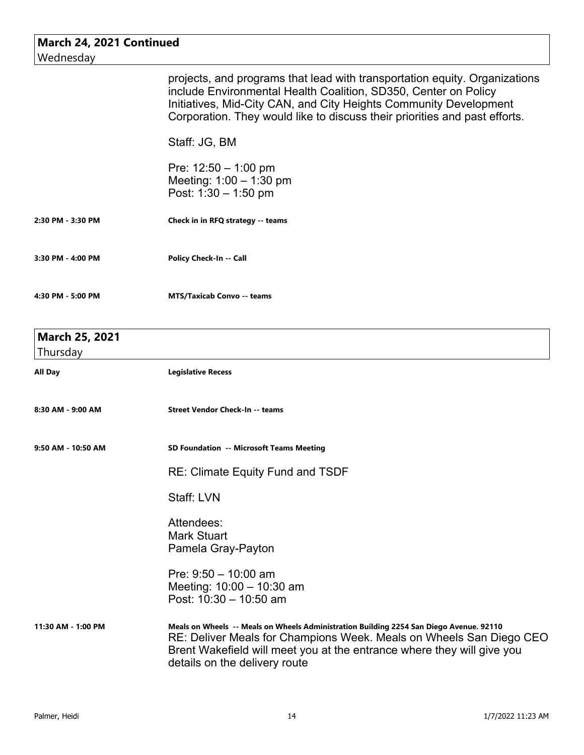| March 24, 2021 Continued          |                                                                                                                                                                                                                                                                                                                   |
|-----------------------------------|-------------------------------------------------------------------------------------------------------------------------------------------------------------------------------------------------------------------------------------------------------------------------------------------------------------------|
| Wednesday                         |                                                                                                                                                                                                                                                                                                                   |
|                                   | projects, and programs that lead with transportation equity. Organizations<br>include Environmental Health Coalition, SD350, Center on Policy<br>Initiatives, Mid-City CAN, and City Heights Community Development<br>Corporation. They would like to discuss their priorities and past efforts.<br>Staff: JG, BM |
|                                   | Pre: $12:50 - 1:00$ pm<br>Meeting: $1:00 - 1:30$ pm<br>Post: $1:30 - 1:50$ pm                                                                                                                                                                                                                                     |
| 2:30 PM - 3:30 PM                 | Check in in RFQ strategy -- teams                                                                                                                                                                                                                                                                                 |
| 3:30 PM - 4:00 PM                 | Policy Check-In -- Call                                                                                                                                                                                                                                                                                           |
| 4:30 PM - 5:00 PM                 | <b>MTS/Taxicab Convo -- teams</b>                                                                                                                                                                                                                                                                                 |
| <b>March 25, 2021</b><br>Thursday |                                                                                                                                                                                                                                                                                                                   |
| All Day                           | <b>Legislative Recess</b>                                                                                                                                                                                                                                                                                         |
| 8:30 AM - 9:00 AM                 | <b>Street Vendor Check-In -- teams</b>                                                                                                                                                                                                                                                                            |
| 9:50 AM - 10:50 AM                | SD Foundation -- Microsoft Teams Meeting                                                                                                                                                                                                                                                                          |
|                                   | <b>RE: Climate Equity Fund and TSDF</b>                                                                                                                                                                                                                                                                           |
|                                   | Staff: LVN                                                                                                                                                                                                                                                                                                        |
|                                   | Attendees:<br><b>Mark Stuart</b><br>Pamela Gray-Payton                                                                                                                                                                                                                                                            |
|                                   | Pre: $9:50 - 10:00$ am<br>Meeting: $10:00 - 10:30$ am<br>Post: 10:30 - 10:50 am                                                                                                                                                                                                                                   |
| 11:30 AM - 1:00 PM                | Meals on Wheels -- Meals on Wheels Administration Building 2254 San Diego Avenue. 92110<br>RE: Deliver Meals for Champions Week. Meals on Wheels San Diego CEO<br>Brent Wakefield will meet you at the entrance where they will give you<br>details on the delivery route                                         |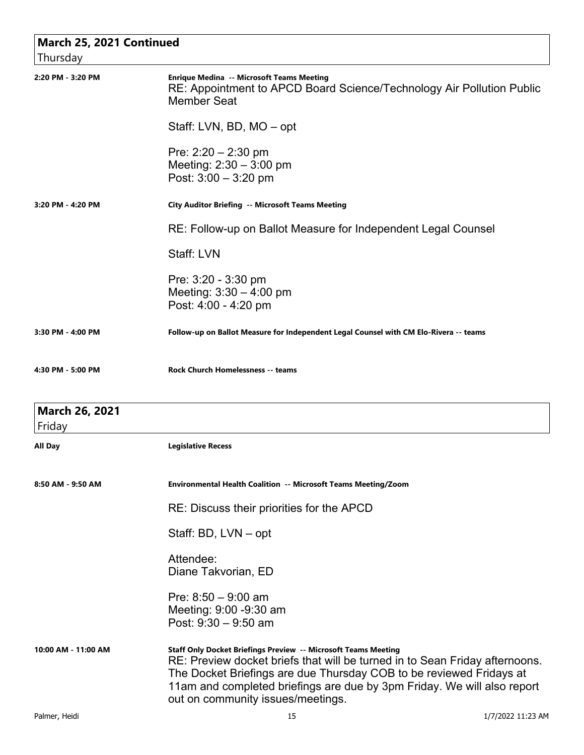| March 25, 2021 Continued<br>Thursday |                                                                                                                                                                                                                                                                                                                                      |
|--------------------------------------|--------------------------------------------------------------------------------------------------------------------------------------------------------------------------------------------------------------------------------------------------------------------------------------------------------------------------------------|
| 2:20 PM - 3:20 PM                    | <b>Enrique Medina -- Microsoft Teams Meeting</b><br>RE: Appointment to APCD Board Science/Technology Air Pollution Public<br><b>Member Seat</b>                                                                                                                                                                                      |
|                                      | Staff: LVN, BD, MO – opt                                                                                                                                                                                                                                                                                                             |
|                                      | Pre: $2:20 - 2:30$ pm<br>Meeting: $2:30 - 3:00$ pm<br>Post: 3:00 - 3:20 pm                                                                                                                                                                                                                                                           |
| 3:20 PM - 4:20 PM                    | <b>City Auditor Briefing -- Microsoft Teams Meeting</b>                                                                                                                                                                                                                                                                              |
|                                      | RE: Follow-up on Ballot Measure for Independent Legal Counsel                                                                                                                                                                                                                                                                        |
|                                      | Staff: LVN                                                                                                                                                                                                                                                                                                                           |
|                                      | Pre: 3:20 - 3:30 pm<br>Meeting: $3:30 - 4:00$ pm<br>Post: 4:00 - 4:20 pm                                                                                                                                                                                                                                                             |
| 3:30 PM - 4:00 PM                    | Follow-up on Ballot Measure for Independent Legal Counsel with CM Elo-Rivera -- teams                                                                                                                                                                                                                                                |
| 4:30 PM - 5:00 PM                    | <b>Rock Church Homelessness -- teams</b>                                                                                                                                                                                                                                                                                             |
| March 26, 2021<br>Friday             |                                                                                                                                                                                                                                                                                                                                      |
| All Day                              | <b>Legislative Recess</b>                                                                                                                                                                                                                                                                                                            |
| 8:50 AM - 9:50 AM                    | <b>Environmental Health Coalition -- Microsoft Teams Meeting/Zoom</b>                                                                                                                                                                                                                                                                |
|                                      | RE: Discuss their priorities for the APCD                                                                                                                                                                                                                                                                                            |
|                                      | Staff: BD, LVN – opt                                                                                                                                                                                                                                                                                                                 |
|                                      | Attendee:<br>Diane Takvorian, ED                                                                                                                                                                                                                                                                                                     |
|                                      | Pre: $8:50 - 9:00$ am<br>Meeting: 9:00 -9:30 am<br>Post: $9:30 - 9:50$ am                                                                                                                                                                                                                                                            |
| 10:00 AM - 11:00 AM                  | Staff Only Docket Briefings Preview -- Microsoft Teams Meeting<br>RE: Preview docket briefs that will be turned in to Sean Friday afternoons.<br>The Docket Briefings are due Thursday COB to be reviewed Fridays at<br>11am and completed briefings are due by 3pm Friday. We will also report<br>out on community issues/meetings. |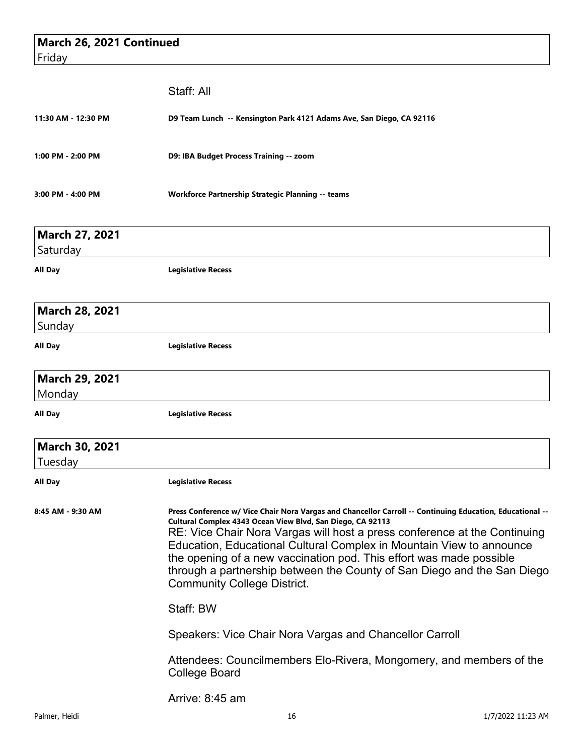| March 26, 2021 Continued<br>Friday |                                                                                                                                                                                                                                                                                                                                                                                                                                                                                                                      |  |
|------------------------------------|----------------------------------------------------------------------------------------------------------------------------------------------------------------------------------------------------------------------------------------------------------------------------------------------------------------------------------------------------------------------------------------------------------------------------------------------------------------------------------------------------------------------|--|
|                                    |                                                                                                                                                                                                                                                                                                                                                                                                                                                                                                                      |  |
|                                    | Staff: All                                                                                                                                                                                                                                                                                                                                                                                                                                                                                                           |  |
| 11:30 AM - 12:30 PM                | D9 Team Lunch -- Kensington Park 4121 Adams Ave, San Diego, CA 92116                                                                                                                                                                                                                                                                                                                                                                                                                                                 |  |
| 1:00 PM - 2:00 PM                  | D9: IBA Budget Process Training -- zoom                                                                                                                                                                                                                                                                                                                                                                                                                                                                              |  |
| 3:00 PM - 4:00 PM                  | <b>Workforce Partnership Strategic Planning -- teams</b>                                                                                                                                                                                                                                                                                                                                                                                                                                                             |  |
| <b>March 27, 2021</b>              |                                                                                                                                                                                                                                                                                                                                                                                                                                                                                                                      |  |
| Saturday                           |                                                                                                                                                                                                                                                                                                                                                                                                                                                                                                                      |  |
| All Day                            | <b>Legislative Recess</b>                                                                                                                                                                                                                                                                                                                                                                                                                                                                                            |  |
| <b>March 28, 2021</b>              |                                                                                                                                                                                                                                                                                                                                                                                                                                                                                                                      |  |
| Sunday                             |                                                                                                                                                                                                                                                                                                                                                                                                                                                                                                                      |  |
| <b>All Day</b>                     | <b>Legislative Recess</b>                                                                                                                                                                                                                                                                                                                                                                                                                                                                                            |  |
| March 29, 2021                     |                                                                                                                                                                                                                                                                                                                                                                                                                                                                                                                      |  |
| Monday                             |                                                                                                                                                                                                                                                                                                                                                                                                                                                                                                                      |  |
| All Day                            | <b>Legislative Recess</b>                                                                                                                                                                                                                                                                                                                                                                                                                                                                                            |  |
| <b>March 30, 2021</b>              |                                                                                                                                                                                                                                                                                                                                                                                                                                                                                                                      |  |
| Tuesday                            |                                                                                                                                                                                                                                                                                                                                                                                                                                                                                                                      |  |
| <b>All Day</b>                     | <b>Legislative Recess</b>                                                                                                                                                                                                                                                                                                                                                                                                                                                                                            |  |
| 8:45 AM - 9:30 AM                  | Press Conference w/ Vice Chair Nora Vargas and Chancellor Carroll -- Continuing Education, Educational --<br>Cultural Complex 4343 Ocean View Blvd, San Diego, CA 92113<br>RE: Vice Chair Nora Vargas will host a press conference at the Continuing<br>Education, Educational Cultural Complex in Mountain View to announce<br>the opening of a new vaccination pod. This effort was made possible<br>through a partnership between the County of San Diego and the San Diego<br><b>Community College District.</b> |  |
|                                    | Staff: BW                                                                                                                                                                                                                                                                                                                                                                                                                                                                                                            |  |
|                                    | Speakers: Vice Chair Nora Vargas and Chancellor Carroll                                                                                                                                                                                                                                                                                                                                                                                                                                                              |  |
|                                    | Attendees: Councilmembers Elo-Rivera, Mongomery, and members of the<br>College Board                                                                                                                                                                                                                                                                                                                                                                                                                                 |  |
|                                    | Arrive: 8:45 am                                                                                                                                                                                                                                                                                                                                                                                                                                                                                                      |  |